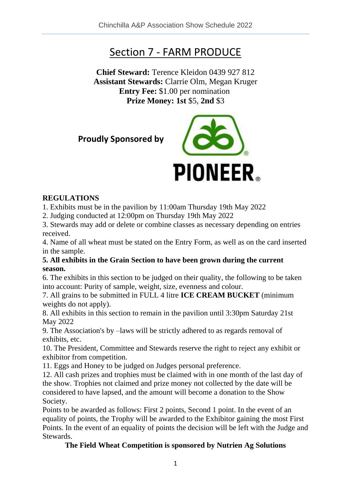# Section 7 - FARM PRODUCE

**Chief Steward:** Terence Kleidon 0439 927 812 **Assistant Stewards:** Clarrie Olm, Megan Kruger **Entry Fee:** \$1.00 per nomination **Prize Money: 1st** \$5, **2nd** \$3

**Proudly Sponsored by** 



#### **REGULATIONS**

1. Exhibits must be in the pavilion by 11:00am Thursday 19th May 2022

2. Judging conducted at 12:00pm on Thursday 19th May 2022

3. Stewards may add or delete or combine classes as necessary depending on entries received.

4. Name of all wheat must be stated on the Entry Form, as well as on the card inserted in the sample.

#### **5. All exhibits in the Grain Section to have been grown during the current season.**

6. The exhibits in this section to be judged on their quality, the following to be taken into account: Purity of sample, weight, size, evenness and colour.

7. All grains to be submitted in FULL 4 litre **ICE CREAM BUCKET** (minimum weights do not apply).

8. All exhibits in this section to remain in the pavilion until 3:30pm Saturday 21st May 2022

9. The Association's by –laws will be strictly adhered to as regards removal of exhibits, etc.

10. The President, Committee and Stewards reserve the right to reject any exhibit or exhibitor from competition.

11. Eggs and Honey to be judged on Judges personal preference.

12. All cash prizes and trophies must be claimed with in one month of the last day of the show. Trophies not claimed and prize money not collected by the date will be considered to have lapsed, and the amount will become a donation to the Show Society.

Points to be awarded as follows: First 2 points, Second 1 point. In the event of an equality of points, the Trophy will be awarded to the Exhibitor gaining the most First Points. In the event of an equality of points the decision will be left with the Judge and Stewards.

#### **The Field Wheat Competition is sponsored by Nutrien Ag Solutions**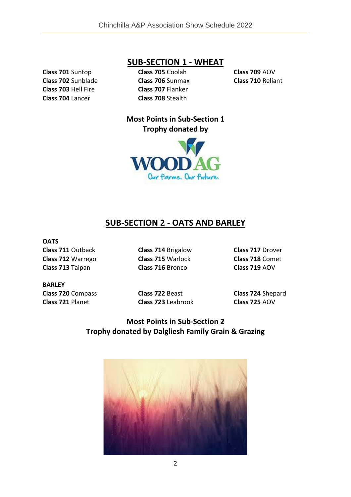**Class 701** Suntop **Class 702** Sunblade **Class 703** Hell Fire **Class 704** Lancer

### **SUB-SECTION 1 - WHEAT**

**Class 705** Coolah **Class 706** Sunmax **Class 707** Flanker **Class 708** Stealth

**Class 709** AOV **Class 710** Reliant

**Most Points in Sub-Section 1 Trophy donated by** 



## **SUB-SECTION 2 - OATS AND BARLEY**

**OATS**

**Class 711** Outback **Class 712** Warrego **Class 713** Taipan

**Class 714** Brigalow **Class 715** Warlock **Class 716** Bronco

**Class 717** Drover **Class 718** Comet **Class 719** AOV

**BARLEY Class 720** Compass **Class 721** Planet

**Class 722** Beast **Class 723** Leabrook **Class 724** Shepard **Class 725** AOV

### **Most Points in Sub-Section 2 Trophy donated by Dalgliesh Family Grain & Grazing**

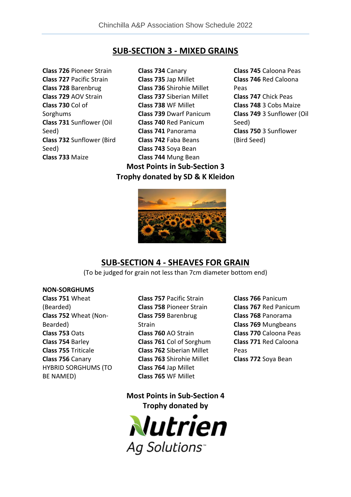### **SUB-SECTION 3 - MIXED GRAINS**

**Class 726** Pioneer Strain **Class 727** Pacific Strain **Class 728** Barenbrug **Class 729** AOV Strain **Class 730** Col of Sorghums **Class 731** Sunflower (Oil Seed) **Class 732** Sunflower (Bird Seed) **Class 733** Maize

**Class 734** Canary **Class 735** Jap Millet **Class 736** Shirohie Millet **Class 737** Siberian Millet **Class 738** WF Millet **Class 739** Dwarf Panicum **Class 740** Red Panicum **Class 741** Panorama **Class 742** Faba Beans **Class 743** Soya Bean **Class 744** Mung Bean

**Most Points in Sub-Section 3 Trophy donated by SD & K Kleidon**

**Class 745** Caloona Peas **Class 746** Red Caloona Peas **Class 747** Chick Peas **Class 748** 3 Cobs Maize **Class 749** 3 Sunflower (Oil Seed) **Class 750** 3 Sunflower (Bird Seed)



### **SUB-SECTION 4 - SHEAVES FOR GRAIN**

(To be judged for grain not less than 7cm diameter bottom end)

#### **NON-SORGHUMS**

**Class 751** Wheat (Bearded) **Class 752** Wheat (Non-Bearded) **Class 753** Oats **Class 754** Barley **Class 755** Triticale **Class 756** Canary HYBRID SORGHUMS (TO BE NAMED)

- **Class 757** Pacific Strain **Class 758** Pioneer Strain **Class 759** Barenbrug Strain **Class 760** AO Strain **Class 761** Col of Sorghum **Class 762** Siberian Millet **Class 763** Shirohie Millet **Class 764** Jap Millet **Class 765** WF Millet
- **Class 766** Panicum **Class 767** Red Panicum **Class 768** Panorama **Class 769** Mungbeans **Class 770** Caloona Peas **Class 771** Red Caloona Peas **Class 772** Soya Bean

**Most Points in Sub-Section 4 Trophy donated by**